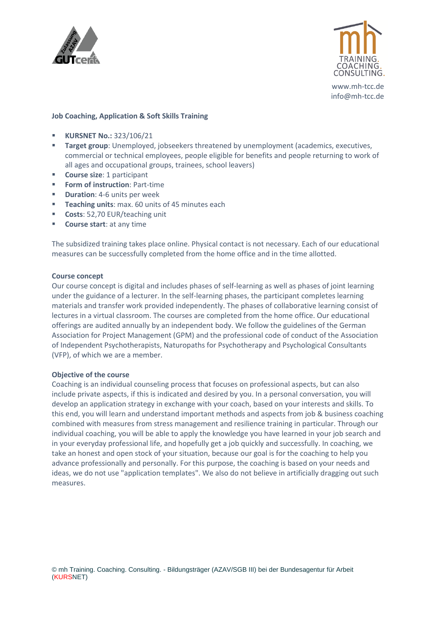



www.mh-tcc.de info@mh-tcc.de

### **Job Coaching, Application & Soft Skills Training**

- **KURSNET No.:** 323/106/21
- **Target group**: Unemployed, jobseekers threatened by unemployment (academics, executives, commercial or technical employees, people eligible for benefits and people returning to work of all ages and occupational groups, trainees, school leavers)
- **Course size**: 1 participant
- **Form of instruction**: Part-time
- **E Duration**: 4-6 units per week
- **Teaching units**: max. 60 units of 45 minutes each
- **Costs**: 52,70 EUR/teaching unit
- **Course start**: at any time

The subsidized training takes place online. Physical contact is not necessary. Each of our educational measures can be successfully completed from the home office and in the time allotted.

### **Course concept**

Our course concept is digital and includes phases of self-learning as well as phases of joint learning under the guidance of a lecturer. In the self-learning phases, the participant completes learning materials and transfer work provided independently. The phases of collaborative learning consist of lectures in a virtual classroom. The courses are completed from the home office. Our educational offerings are audited annually by an independent body. We follow the guidelines of the German Association for Project Management (GPM) and the professional code of conduct of the Association of Independent Psychotherapists, Naturopaths for Psychotherapy and Psychological Consultants (VFP), of which we are a member.

### **Objective of the course**

Coaching is an individual counseling process that focuses on professional aspects, but can also include private aspects, if this is indicated and desired by you. In a personal conversation, you will develop an application strategy in exchange with your coach, based on your interests and skills. To this end, you will learn and understand important methods and aspects from job & business coaching combined with measures from stress management and resilience training in particular. Through our individual coaching, you will be able to apply the knowledge you have learned in your job search and in your everyday professional life, and hopefully get a job quickly and successfully. In coaching, we take an honest and open stock of your situation, because our goal is for the coaching to help you advance professionally and personally. For this purpose, the coaching is based on your needs and ideas, we do not use "application templates". We also do not believe in artificially dragging out such measures.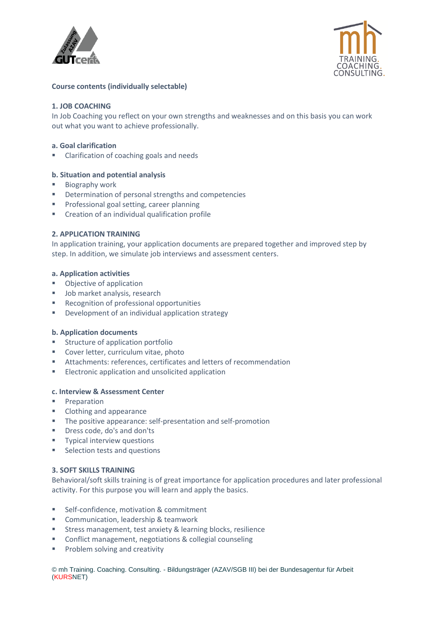



# **Course contents (individually selectable)**

# **1. JOB COACHING**

In Job Coaching you reflect on your own strengths and weaknesses and on this basis you can work out what you want to achieve professionally.

## **a. Goal clarification**

Clarification of coaching goals and needs

## **b. Situation and potential analysis**

- Biography work
- Determination of personal strengths and competencies
- Professional goal setting, career planning
- Creation of an individual qualification profile

### **2. APPLICATION TRAINING**

In application training, your application documents are prepared together and improved step by step. In addition, we simulate job interviews and assessment centers.

### **a. Application activities**

- Objective of application
- Job market analysis, research
- Recognition of professional opportunities
- Development of an individual application strategy

## **b. Application documents**

- Structure of application portfolio
- Cover letter, curriculum vitae, photo
- Attachments: references, certificates and letters of recommendation
- Electronic application and unsolicited application

# **c. Interview & Assessment Center**

- Preparation
- Clothing and appearance
- The positive appearance: self-presentation and self-promotion
- Dress code, do's and don'ts
- **■** Typical interview questions
- Selection tests and questions

## **3. SOFT SKILLS TRAINING**

Behavioral/soft skills training is of great importance for application procedures and later professional activity. For this purpose you will learn and apply the basics.

- Self-confidence, motivation & commitment
- Communication, leadership & teamwork
- Stress management, test anxiety & learning blocks, resilience
- Conflict management, negotiations & collegial counseling
- Problem solving and creativity

© mh Training. Coaching. Consulting. - Bildungsträger (AZAV/SGB III) bei der Bundesagentur für Arbeit (KURSNET)